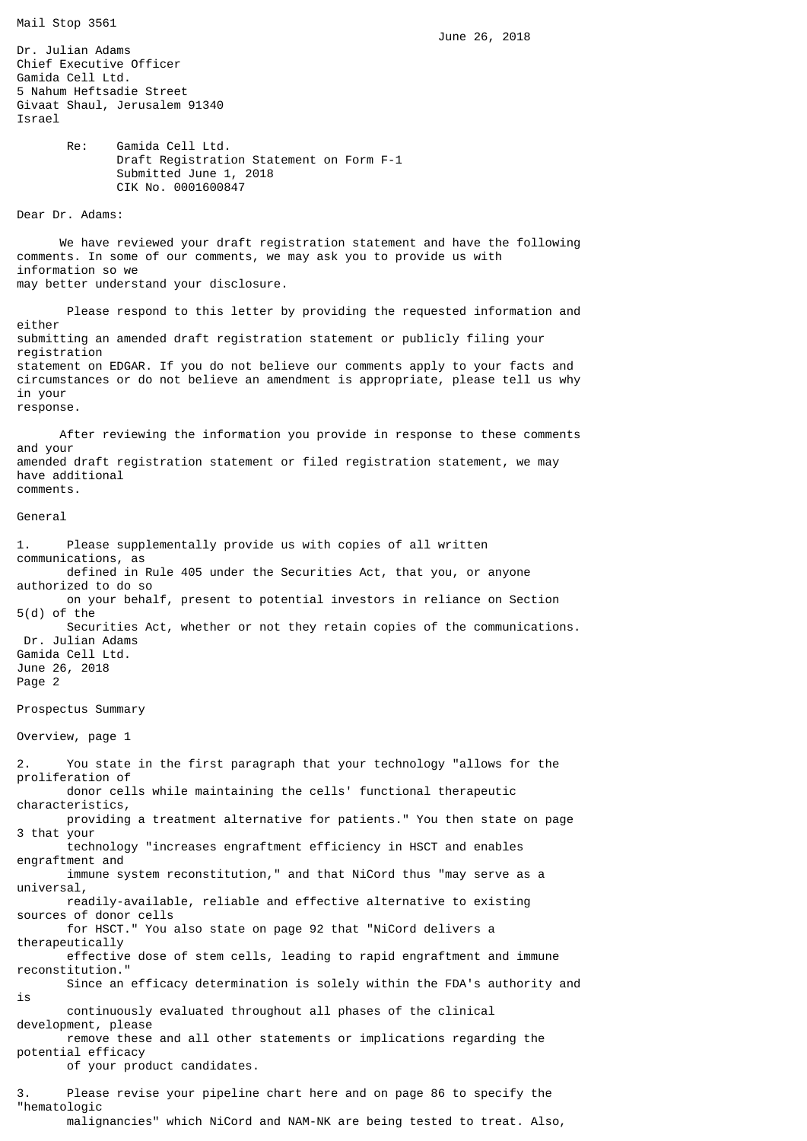June 26, 2018

Dr. Julian Adams Chief Executive Officer Gamida Cell Ltd. 5 Nahum Heftsadie Street Givaat Shaul, Jerusalem 91340 Israel Re: Gamida Cell Ltd. Draft Registration Statement on Form F-1 Submitted June 1, 2018 CIK No. 0001600847 Dear Dr. Adams: We have reviewed your draft registration statement and have the following comments. In some of our comments, we may ask you to provide us with information so we may better understand your disclosure. Please respond to this letter by providing the requested information and either submitting an amended draft registration statement or publicly filing your registration statement on EDGAR. If you do not believe our comments apply to your facts and circumstances or do not believe an amendment is appropriate, please tell us why in your response. After reviewing the information you provide in response to these comments and your amended draft registration statement or filed registration statement, we may have additional comments. General 1. Please supplementally provide us with copies of all written communications, as defined in Rule 405 under the Securities Act, that you, or anyone authorized to do so on your behalf, present to potential investors in reliance on Section 5(d) of the Securities Act, whether or not they retain copies of the communications. Dr. Julian Adams Gamida Cell Ltd. June 26, 2018 Page 2 Prospectus Summary Overview, page 1 2. You state in the first paragraph that your technology "allows for the proliferation of donor cells while maintaining the cells' functional therapeutic characteristics, providing a treatment alternative for patients." You then state on page 3 that your technology "increases engraftment efficiency in HSCT and enables engraftment and immune system reconstitution," and that NiCord thus "may serve as a universal, readily-available, reliable and effective alternative to existing sources of donor cells for HSCT." You also state on page 92 that "NiCord delivers a therapeutically effective dose of stem cells, leading to rapid engraftment and immune reconstitution." Since an efficacy determination is solely within the FDA's authority and is continuously evaluated throughout all phases of the clinical development, please remove these and all other statements or implications regarding the potential efficacy of your product candidates. 3. Please revise your pipeline chart here and on page 86 to specify the "hematologic

malignancies" which NiCord and NAM-NK are being tested to treat. Also,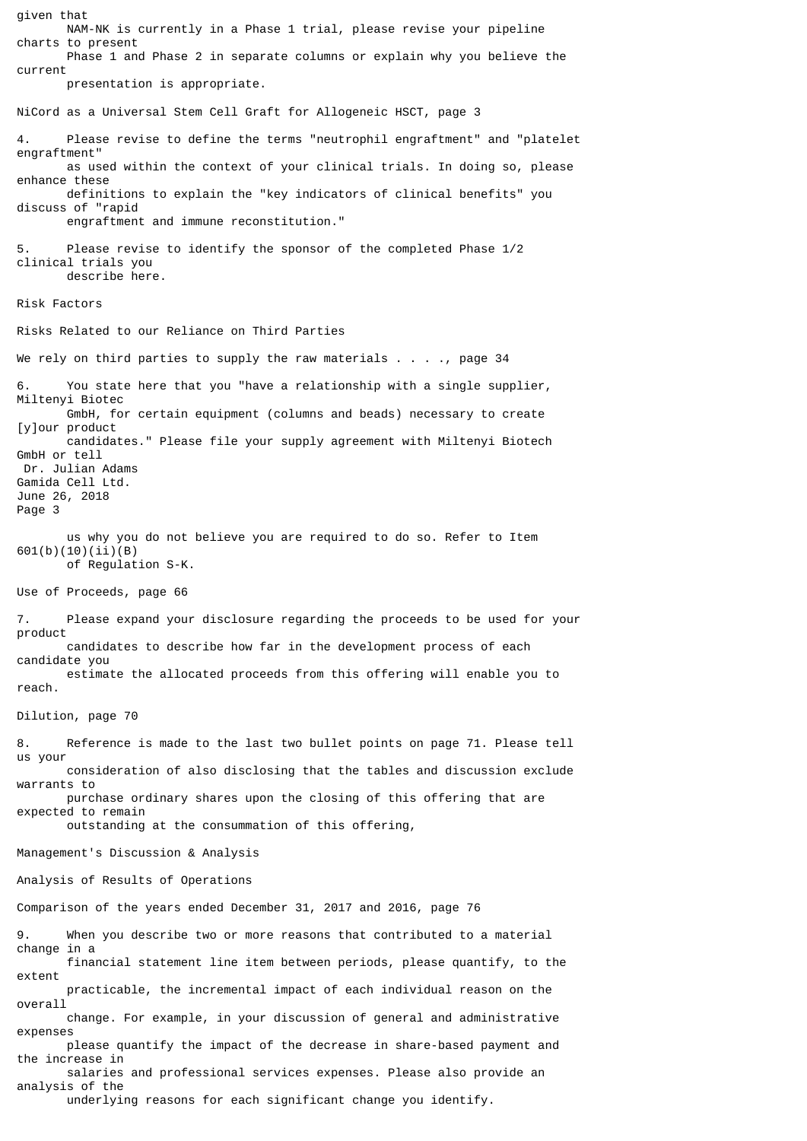given that NAM-NK is currently in a Phase 1 trial, please revise your pipeline charts to present Phase 1 and Phase 2 in separate columns or explain why you believe the current presentation is appropriate. NiCord as a Universal Stem Cell Graft for Allogeneic HSCT, page 3 4. Please revise to define the terms "neutrophil engraftment" and "platelet engraftment" as used within the context of your clinical trials. In doing so, please enhance these definitions to explain the "key indicators of clinical benefits" you discuss of "rapid engraftment and immune reconstitution." 5. Please revise to identify the sponsor of the completed Phase 1/2 clinical trials you describe here. Risk Factors Risks Related to our Reliance on Third Parties We rely on third parties to supply the raw materials  $\ldots$ , page 34 6. You state here that you "have a relationship with a single supplier, Miltenyi Biotec GmbH, for certain equipment (columns and beads) necessary to create [y]our product candidates." Please file your supply agreement with Miltenyi Biotech GmbH or tell Dr. Julian Adams Gamida Cell Ltd. June 26, 2018 Page 3 us why you do not believe you are required to do so. Refer to Item 601(b)(10)(ii)(B) of Regulation S-K. Use of Proceeds, page 66 7. Please expand your disclosure regarding the proceeds to be used for your product candidates to describe how far in the development process of each candidate you estimate the allocated proceeds from this offering will enable you to reach. Dilution, page 70 8. Reference is made to the last two bullet points on page 71. Please tell us your consideration of also disclosing that the tables and discussion exclude warrants to purchase ordinary shares upon the closing of this offering that are expected to remain outstanding at the consummation of this offering, Management's Discussion & Analysis Analysis of Results of Operations Comparison of the years ended December 31, 2017 and 2016, page 76 When you describe two or more reasons that contributed to a material change in a financial statement line item between periods, please quantify, to the extent practicable, the incremental impact of each individual reason on the overall change. For example, in your discussion of general and administrative expenses please quantify the impact of the decrease in share-based payment and the increase in salaries and professional services expenses. Please also provide an analysis of the underlying reasons for each significant change you identify.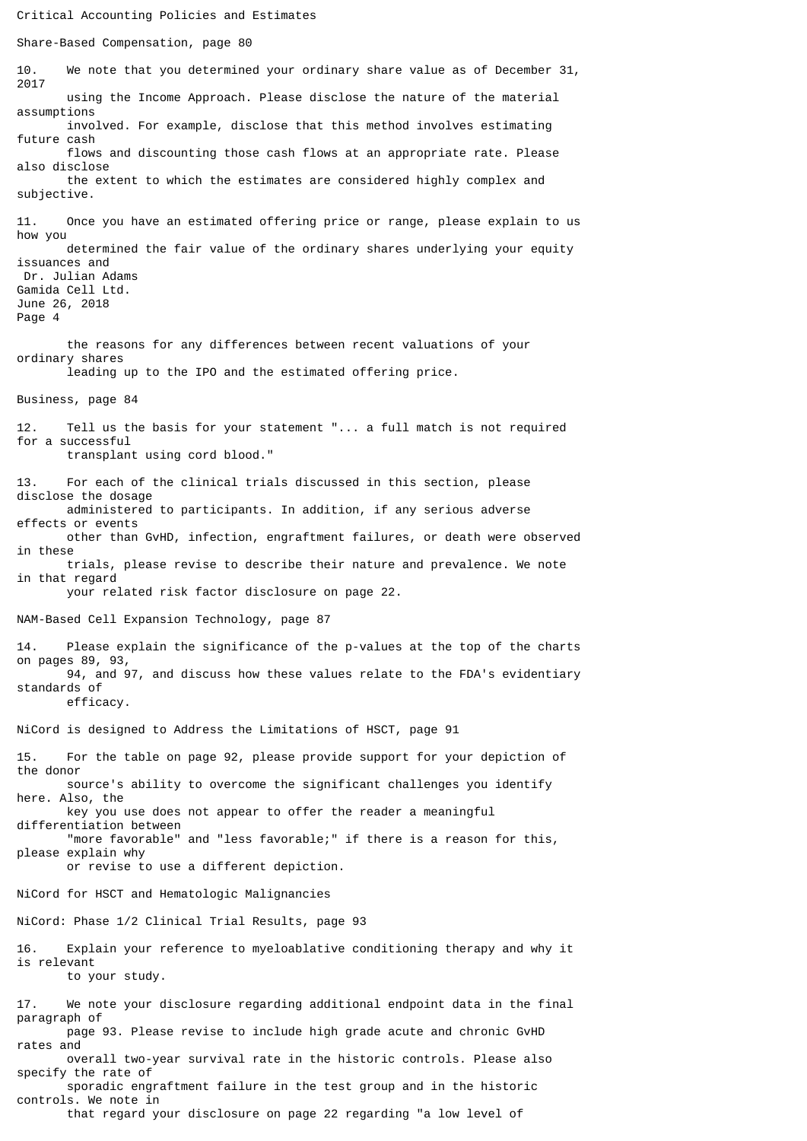Critical Accounting Policies and Estimates Share-Based Compensation, page 80 10. We note that you determined your ordinary share value as of December 31, 2017 using the Income Approach. Please disclose the nature of the material assumptions involved. For example, disclose that this method involves estimating future cash flows and discounting those cash flows at an appropriate rate. Please also disclose the extent to which the estimates are considered highly complex and subjective. 11. Once you have an estimated offering price or range, please explain to us how you determined the fair value of the ordinary shares underlying your equity issuances and Dr. Julian Adams Gamida Cell Ltd. June 26, 2018 Page 4 the reasons for any differences between recent valuations of your ordinary shares leading up to the IPO and the estimated offering price. Business, page 84 12. Tell us the basis for your statement "... a full match is not required for a successful transplant using cord blood." 13. For each of the clinical trials discussed in this section, please disclose the dosage administered to participants. In addition, if any serious adverse effects or events other than GvHD, infection, engraftment failures, or death were observed in these trials, please revise to describe their nature and prevalence. We note in that regard your related risk factor disclosure on page 22. NAM-Based Cell Expansion Technology, page 87 14. Please explain the significance of the p-values at the top of the charts on pages 89, 93, 94, and 97, and discuss how these values relate to the FDA's evidentiary standards of efficacy. NiCord is designed to Address the Limitations of HSCT, page 91 15. For the table on page 92, please provide support for your depiction of the donor source's ability to overcome the significant challenges you identify here. Also, the key you use does not appear to offer the reader a meaningful differentiation between "more favorable" and "less favorable;" if there is a reason for this, please explain why or revise to use a different depiction. NiCord for HSCT and Hematologic Malignancies NiCord: Phase 1/2 Clinical Trial Results, page 93 16. Explain your reference to myeloablative conditioning therapy and why it is relevant to your study. 17. We note your disclosure regarding additional endpoint data in the final paragraph of page 93. Please revise to include high grade acute and chronic GvHD rates and overall two-year survival rate in the historic controls. Please also specify the rate of sporadic engraftment failure in the test group and in the historic

controls. We note in that regard your disclosure on page 22 regarding "a low level of